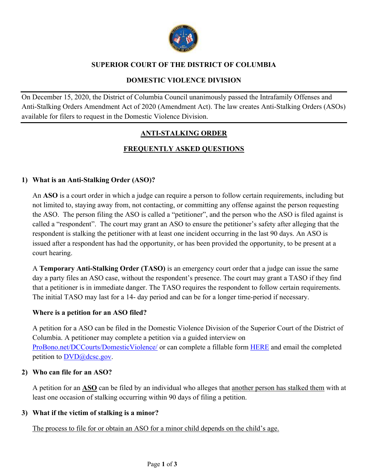

## **SUPERIOR COURT OF THE DISTRICT OF COLUMBIA**

### **DOMESTIC VIOLENCE DIVISION**

On December 15, 2020, the District of Columbia Council unanimously passed the Intrafamily Offenses and Anti-Stalking Orders Amendment Act of 2020 (Amendment Act). The law creates Anti-Stalking Orders (ASOs) available for filers to request in the Domestic Violence Division.

# **ANTI-STALKING ORDER**

# **FREQUENTLY ASKED QUESTIONS**

### **1) What is an Anti-Stalking Order (ASO)?**

An **ASO** is a court order in which a judge can require a person to follow certain requirements, including but not limited to, staying away from, not contacting, or committing any offense against the person requesting the ASO. The person filing the ASO is called a "petitioner", and the person who the ASO is filed against is called a "respondent". The court may grant an ASO to ensure the petitioner's safety after alleging that the respondent is stalking the petitioner with at least one incident occurring in the last 90 days. An ASO is issued after a respondent has had the opportunity, or has been provided the opportunity, to be present at a court hearing.

A **Temporary Anti-Stalking Order (TASO)** is an emergency court order that a judge can issue the same day a party files an ASO case, without the respondent's presence. The court may grant a TASO if they find that a petitioner is in immediate danger. The TASO requires the respondent to follow certain requirements. The initial TASO may last for a 14- day period and can be for a longer time-period if necessary.

### **Where is a petition for an ASO filed?**

A petition for a ASO can be filed in the Domestic Violence Division of the Superior Court of the District of Columbia. A petitioner may complete a petition via a guided interview on ProBono.net/DCCourts/DomesticViolence/ or can complete a fillable form HERE and email the completed petition to  $DVD@$ dcsc.gov.

#### **2) Who can file for an ASO?**

A petition for an **ASO** can be filed by an individual who alleges that another person has stalked them with at least one occasion of stalking occurring within 90 days of filing a petition.

### **3) What if the victim of stalking is a minor?**

The process to file for or obtain an ASO for a minor child depends on the child's age.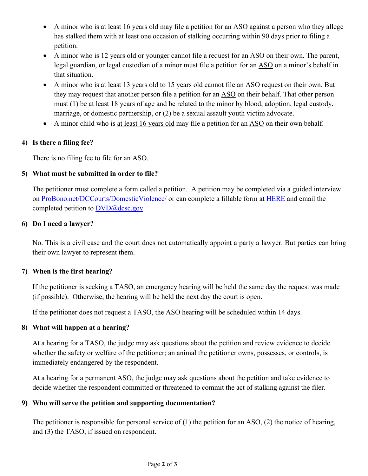- A minor who is at least 16 years old may file a petition for an ASO against a person who they allege has stalked them with at least one occasion of stalking occurring within 90 days prior to filing a petition.
- A minor who is 12 years old or younger cannot file a request for an ASO on their own. The parent, legal guardian, or legal custodian of a minor must file a petition for an ASO on a minor's behalf in that situation.
- A minor who is at least 13 years old to 15 years old cannot file an ASO request on their own. But they may request that another person file a petition for an ASO on their behalf. That other person must (1) be at least 18 years of age and be related to the minor by blood, adoption, legal custody, marriage, or domestic partnership, or (2) be a sexual assault youth victim advocate.
- A minor child who is at least 16 years old may file a petition for an ASO on their own behalf.

## **4) Is there a filing fee?**

There is no filing fee to file for an ASO.

## **5) What must be submitted in order to file?**

The petitioner must complete a form called a petition. A petition may be completed via a guided interview on ProBono.net/DCCourts/DomesticViolence/ or can complete a fillable form at HERE and email the completed petition to  $\text{DVD}$ @dcsc.gov.

### **6) Do I need a lawyer?**

No. This is a civil case and the court does not automatically appoint a party a lawyer. But parties can bring their own lawyer to represent them.

### **7) When is the first hearing?**

If the petitioner is seeking a TASO, an emergency hearing will be held the same day the request was made (if possible). Otherwise, the hearing will be held the next day the court is open.

If the petitioner does not request a TASO, the ASO hearing will be scheduled within 14 days.

### **8) What will happen at a hearing?**

At a hearing for a TASO, the judge may ask questions about the petition and review evidence to decide whether the safety or welfare of the petitioner; an animal the petitioner owns, possesses, or controls, is immediately endangered by the respondent.

At a hearing for a permanent ASO, the judge may ask questions about the petition and take evidence to decide whether the respondent committed or threatened to commit the act of stalking against the filer.

### **9) Who will serve the petition and supporting documentation?**

The petitioner is responsible for personal service of  $(1)$  the petition for an ASO,  $(2)$  the notice of hearing, and (3) the TASO, if issued on respondent.